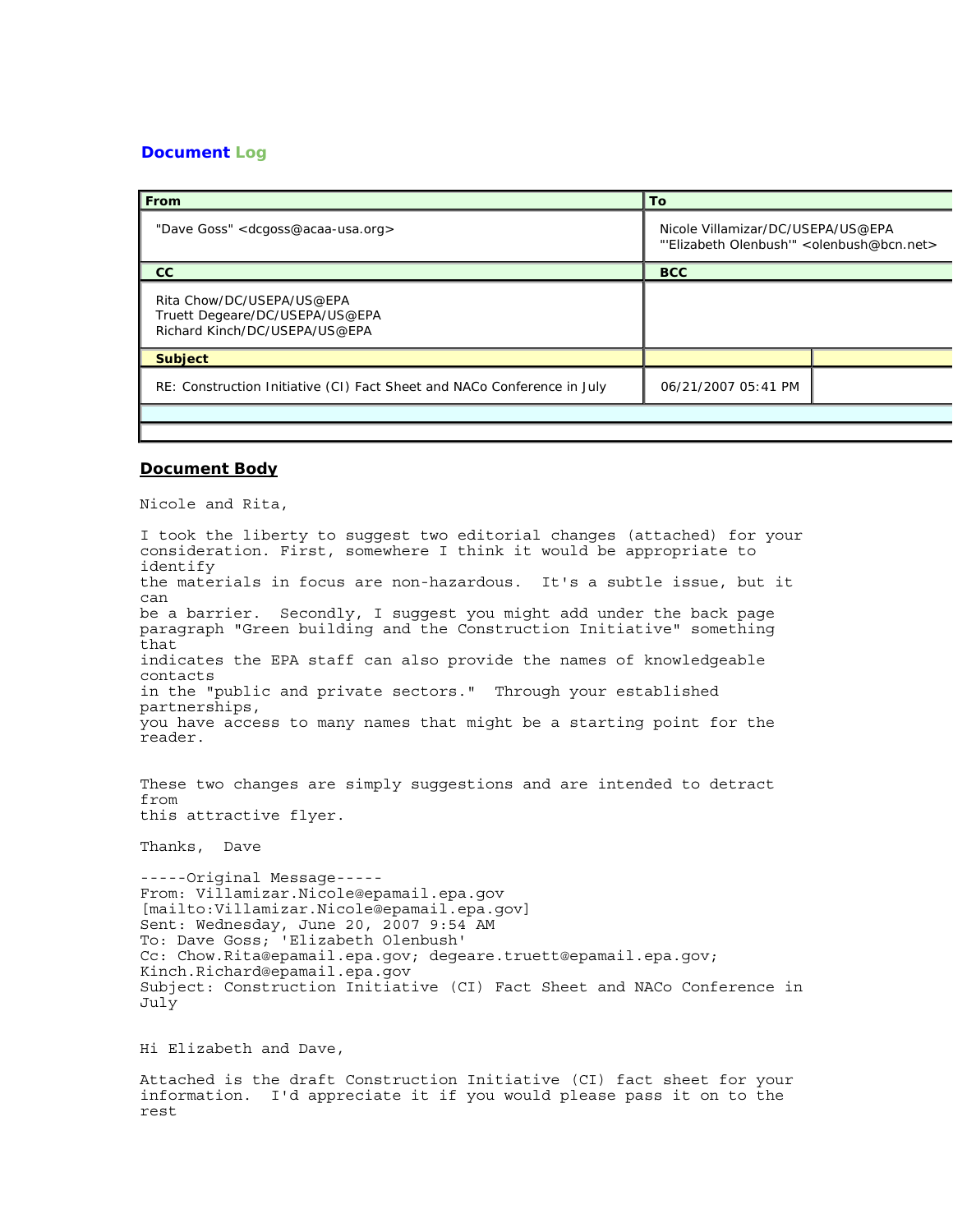## **Document Log**

| From                                                                                         | To                                                                            |  |
|----------------------------------------------------------------------------------------------|-------------------------------------------------------------------------------|--|
| "Dave Goss" <dcgoss@acaa-usa.org></dcgoss@acaa-usa.org>                                      | Nicole Villamizar/DC/USEPA/US@EPA<br>"Elizabeth Olenbush" < olenbush@bcn.net> |  |
| <sub>cc</sub>                                                                                | <b>BCC</b>                                                                    |  |
| Rita Chow/DC/USEPA/US@EPA<br>Truett Degeare/DC/USEPA/US@EPA<br>Richard Kinch/DC/USEPA/US@EPA |                                                                               |  |
| <b>Subject</b>                                                                               |                                                                               |  |
| RE: Construction Initiative (CI) Fact Sheet and NACo Conference in July                      | 06/21/2007 05:41 PM                                                           |  |
|                                                                                              |                                                                               |  |

## **Document Body**

Nicole and Rita,

I took the liberty to suggest two editorial changes (attached) for your consideration. First, somewhere I think it would be appropriate to identify the materials in focus are non-hazardous. It's a subtle issue, but it can be a barrier. Secondly, I suggest you might add under the back page paragraph "Green building and the Construction Initiative" something that indicates the EPA staff can also provide the names of knowledgeable contacts in the "public and private sectors." Through your established partnerships, you have access to many names that might be a starting point for the reader.

These two changes are simply suggestions and are intended to detract from this attractive flyer.

Thanks, Dave

-----Original Message----- From: Villamizar.Nicole@epamail.epa.gov [mailto:Villamizar.Nicole@epamail.epa.gov] Sent: Wednesday, June 20, 2007 9:54 AM To: Dave Goss; 'Elizabeth Olenbush' Cc: Chow.Rita@epamail.epa.gov; degeare.truett@epamail.epa.gov; Kinch.Richard@epamail.epa.gov Subject: Construction Initiative (CI) Fact Sheet and NACo Conference in July

Hi Elizabeth and Dave,

Attached is the draft Construction Initiative (CI) fact sheet for your information. I'd appreciate it if you would please pass it on to the rest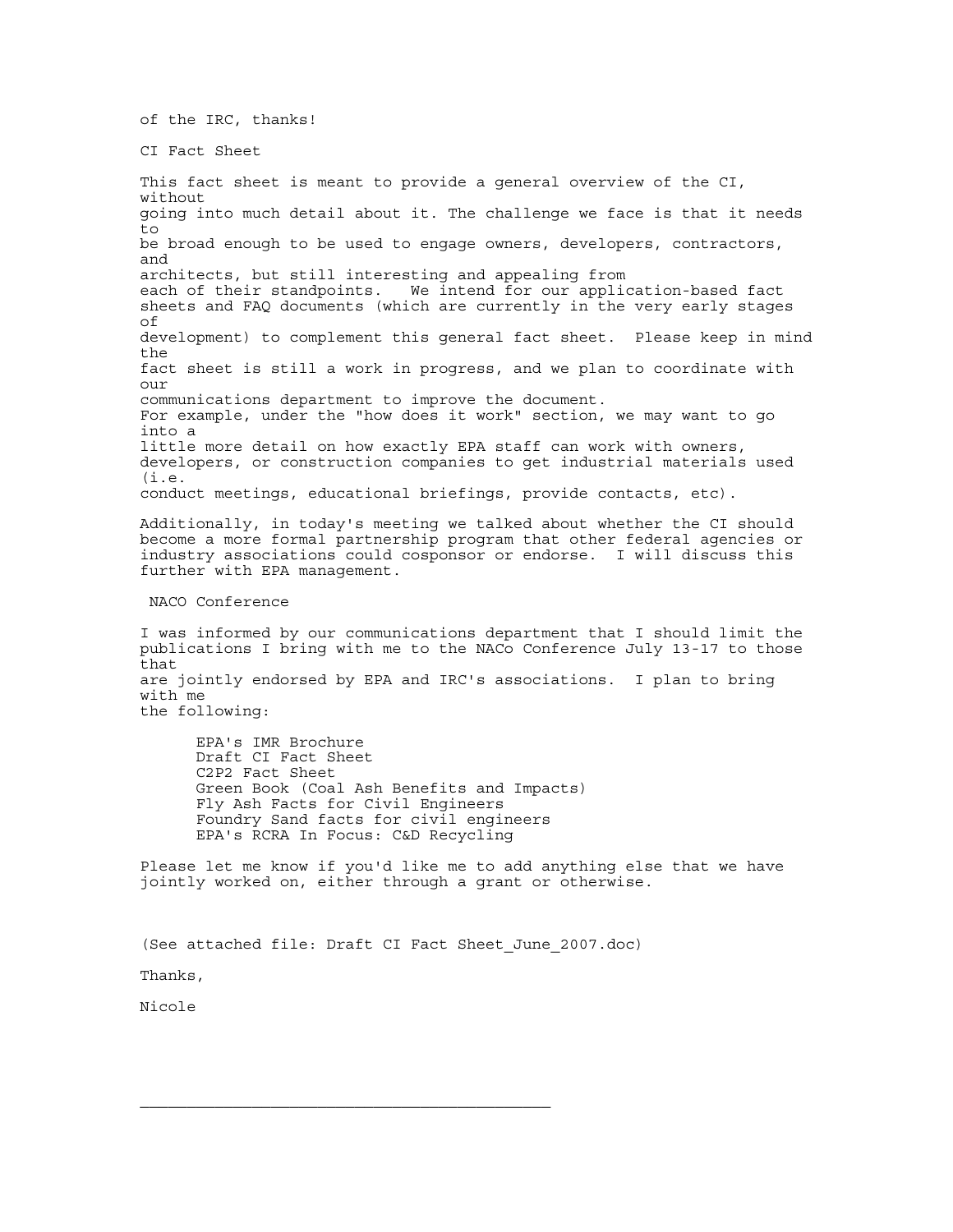of the IRC, thanks!

CI Fact Sheet

This fact sheet is meant to provide a general overview of the CI, without going into much detail about it. The challenge we face is that it needs to be broad enough to be used to engage owners, developers, contractors, and architects, but still interesting and appealing from each of their standpoints. We intend for our application-based fact sheets and FAQ documents (which are currently in the very early stages of development) to complement this general fact sheet. Please keep in mind the fact sheet is still a work in progress, and we plan to coordinate with  $OIII$ communications department to improve the document. For example, under the "how does it work" section, we may want to go into a little more detail on how exactly EPA staff can work with owners, developers, or construction companies to get industrial materials used (i.e. conduct meetings, educational briefings, provide contacts, etc). Additionally, in today's meeting we talked about whether the CI should become a more formal partnership program that other federal agencies or industry associations could cosponsor or endorse. I will discuss this further with EPA management. NACO Conference I was informed by our communications department that I should limit the publications I bring with me to the NACo Conference July 13-17 to those that

are jointly endorsed by EPA and IRC's associations. I plan to bring with me the following:

 EPA's IMR Brochure Draft CI Fact Sheet C2P2 Fact Sheet Green Book (Coal Ash Benefits and Impacts) Fly Ash Facts for Civil Engineers Foundry Sand facts for civil engineers EPA's RCRA In Focus: C&D Recycling

Please let me know if you'd like me to add anything else that we have jointly worked on, either through a grant or otherwise.

(See attached file: Draft CI Fact Sheet\_June\_2007.doc)

Thanks,

Nicole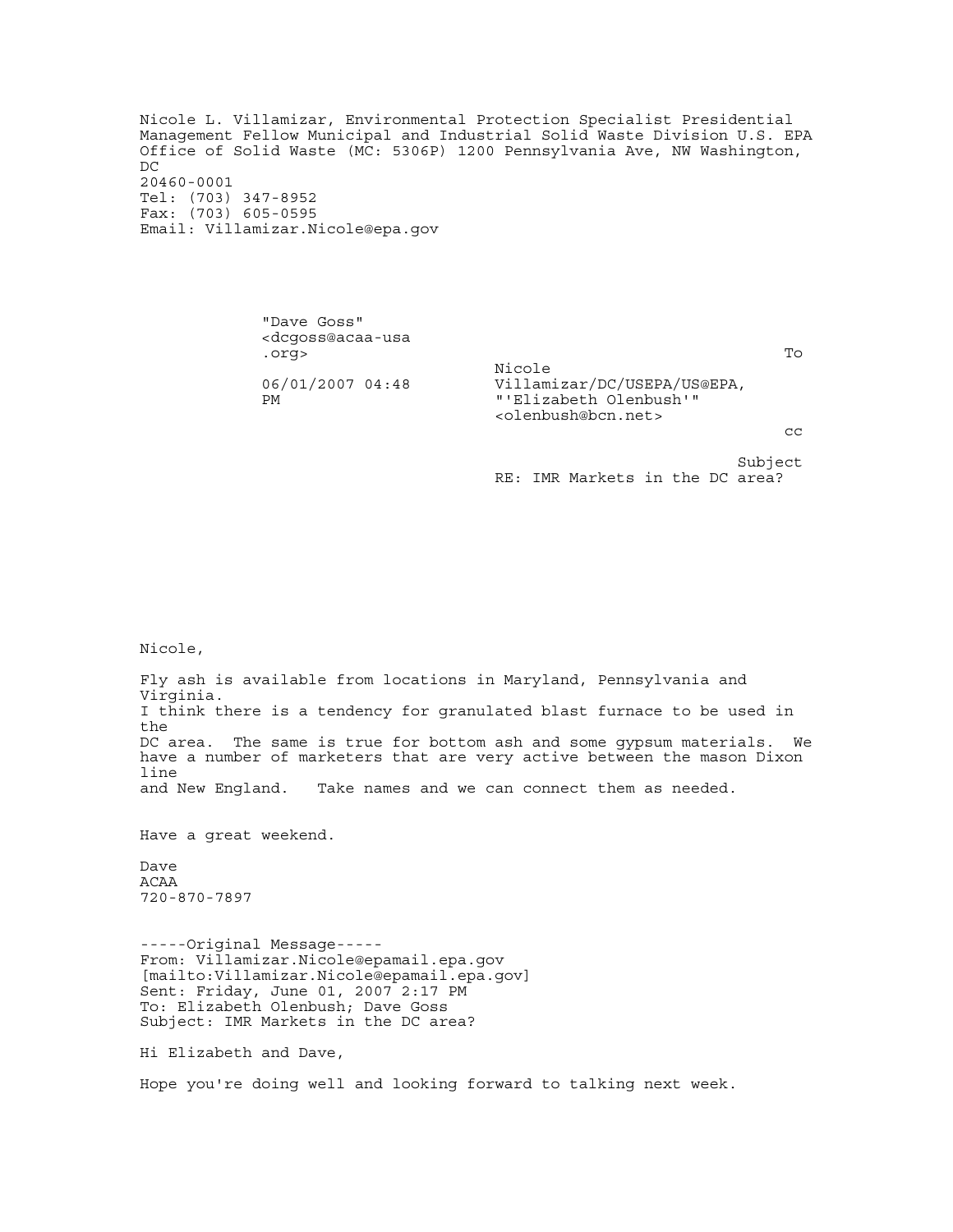Nicole L. Villamizar, Environmental Protection Specialist Presidential Management Fellow Municipal and Industrial Solid Waste Division U.S. EPA Office of Solid Waste (MC: 5306P) 1200 Pennsylvania Ave, NW Washington, DC 20460-0001 Tel: (703) 347-8952 Fax: (703) 605-0595 Email: Villamizar.Nicole@epa.gov

 "Dave Goss" <dcgoss@acaa-usa .org> To Nicole Villamizar/DC/USEPA/US@EPA, PM "'Elizabeth Olenbush'" <olenbush@bcn.net>  $\mathbb{C}^{\infty}$  and  $\mathbb{C}^{\infty}$  and  $\mathbb{C}^{\infty}$  and  $\mathbb{C}^{\infty}$  and  $\mathbb{C}^{\infty}$ subject to the control of the control of the control of the control of the control of the control of the control of the control of the control of the control of the control of the control of the control of the control of t

RE: IMR Markets in the DC area?

Nicole,

Fly ash is available from locations in Maryland, Pennsylvania and Virginia. I think there is a tendency for granulated blast furnace to be used in the DC area. The same is true for bottom ash and some gypsum materials. We have a number of marketers that are very active between the mason Dixon line<br>and New England. Take names and we can connect them as needed.

Have a great weekend.

Dave ACAA 720-870-7897

-----Original Message----- From: Villamizar.Nicole@epamail.epa.gov [mailto:Villamizar.Nicole@epamail.epa.gov] Sent: Friday, June 01, 2007 2:17 PM To: Elizabeth Olenbush; Dave Goss Subject: IMR Markets in the DC area?

Hi Elizabeth and Dave,

Hope you're doing well and looking forward to talking next week.